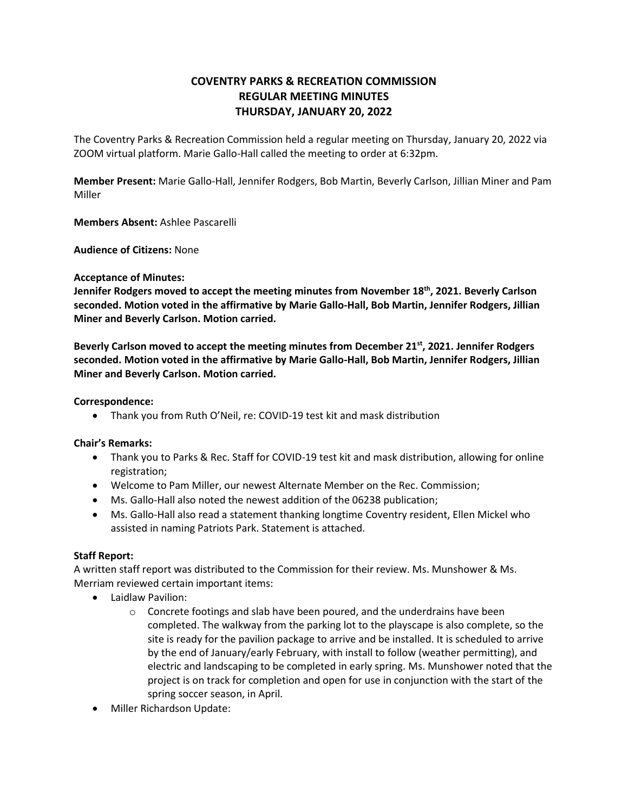# **COVENTRY PARKS & RECREATION COMMISSION REGULAR MEETING MINUTES THURSDAY, JANUARY 20, 2022**

The Coventry Parks & Recreation Commission held a regular meeting on Thursday, January 20, 2022 via ZOOM virtual platform. Marie Gallo-Hall called the meeting to order at 6:32pm.

**Member Present:** Marie Gallo-Hall, Jennifer Rodgers, Bob Martin, Beverly Carlson, Jillian Miner and Pam Miller

**Members Absent:** Ashlee Pascarelli

**Audience of Citizens:** None

### **Acceptance of Minutes:**

**Jennifer Rodgers moved to accept the meeting minutes from November 18th , 2021. Beverly Carlson seconded. Motion voted in the affirmative by Marie Gallo-Hall, Bob Martin, Jennifer Rodgers, Jillian Miner and Beverly Carlson. Motion carried.**

**Beverly Carlson moved to accept the meeting minutes from December 21st, 2021. Jennifer Rodgers seconded. Motion voted in the affirmative by Marie Gallo-Hall, Bob Martin, Jennifer Rodgers, Jillian Miner and Beverly Carlson. Motion carried.**

### **Correspondence:**

Thank you from Ruth O'Neil, re: COVID-19 test kit and mask distribution

# **Chair's Remarks:**

- Thank you to Parks & Rec. Staff for COVID-19 test kit and mask distribution, allowing for online registration;
- Welcome to Pam Miller, our newest Alternate Member on the Rec. Commission;
- Ms. Gallo-Hall also noted the newest addition of the 06238 publication;
- Ms. Gallo-Hall also read a statement thanking longtime Coventry resident, Ellen Mickel who assisted in naming Patriots Park. Statement is attached.

# **Staff Report:**

A written staff report was distributed to the Commission for their review. Ms. Munshower & Ms. Merriam reviewed certain important items:

- Laidlaw Pavilion:
	- $\circ$  Concrete footings and slab have been poured, and the underdrains have been completed. The walkway from the parking lot to the playscape is also complete, so the site is ready for the pavilion package to arrive and be installed. It is scheduled to arrive by the end of January/early February, with install to follow (weather permitting), and electric and landscaping to be completed in early spring. Ms. Munshower noted that the project is on track for completion and open for use in conjunction with the start of the spring soccer season, in April.
- Miller Richardson Update: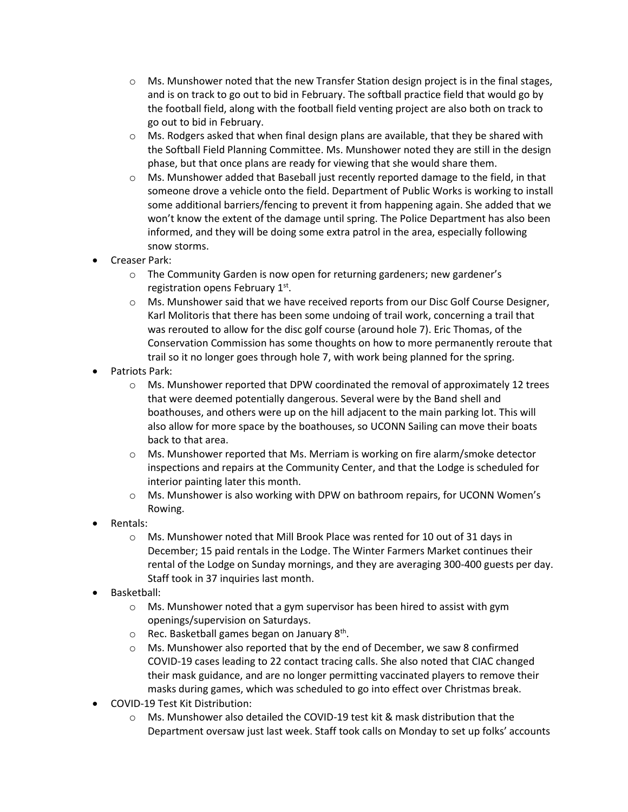- $\circ$  Ms. Munshower noted that the new Transfer Station design project is in the final stages, and is on track to go out to bid in February. The softball practice field that would go by the football field, along with the football field venting project are also both on track to go out to bid in February.
- $\circ$  Ms. Rodgers asked that when final design plans are available, that they be shared with the Softball Field Planning Committee. Ms. Munshower noted they are still in the design phase, but that once plans are ready for viewing that she would share them.
- $\circ$  Ms. Munshower added that Baseball just recently reported damage to the field, in that someone drove a vehicle onto the field. Department of Public Works is working to install some additional barriers/fencing to prevent it from happening again. She added that we won't know the extent of the damage until spring. The Police Department has also been informed, and they will be doing some extra patrol in the area, especially following snow storms.
- Creaser Park:
	- o The Community Garden is now open for returning gardeners; new gardener's registration opens February 1st.
	- o Ms. Munshower said that we have received reports from our Disc Golf Course Designer, Karl Molitoris that there has been some undoing of trail work, concerning a trail that was rerouted to allow for the disc golf course (around hole 7). Eric Thomas, of the Conservation Commission has some thoughts on how to more permanently reroute that trail so it no longer goes through hole 7, with work being planned for the spring.
- Patriots Park:
	- $\circ$  Ms. Munshower reported that DPW coordinated the removal of approximately 12 trees that were deemed potentially dangerous. Several were by the Band shell and boathouses, and others were up on the hill adjacent to the main parking lot. This will also allow for more space by the boathouses, so UCONN Sailing can move their boats back to that area.
	- $\circ$  Ms. Munshower reported that Ms. Merriam is working on fire alarm/smoke detector inspections and repairs at the Community Center, and that the Lodge is scheduled for interior painting later this month.
	- o Ms. Munshower is also working with DPW on bathroom repairs, for UCONN Women's Rowing.
- Rentals:
	- o Ms. Munshower noted that Mill Brook Place was rented for 10 out of 31 days in December; 15 paid rentals in the Lodge. The Winter Farmers Market continues their rental of the Lodge on Sunday mornings, and they are averaging 300-400 guests per day. Staff took in 37 inquiries last month.
- Basketball:
	- o Ms. Munshower noted that a gym supervisor has been hired to assist with gym openings/supervision on Saturdays.
	- $\circ$  Rec. Basketball games began on January 8<sup>th</sup>.
	- o Ms. Munshower also reported that by the end of December, we saw 8 confirmed COVID-19 cases leading to 22 contact tracing calls. She also noted that CIAC changed their mask guidance, and are no longer permitting vaccinated players to remove their masks during games, which was scheduled to go into effect over Christmas break.
- COVID-19 Test Kit Distribution:
	- $\circ$  Ms. Munshower also detailed the COVID-19 test kit & mask distribution that the Department oversaw just last week. Staff took calls on Monday to set up folks' accounts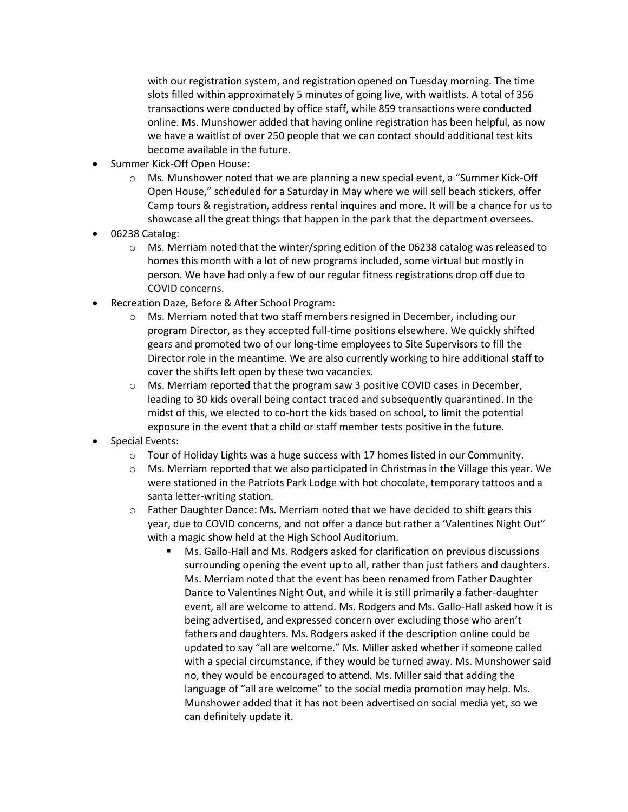with our registration system, and registration opened on Tuesday morning. The time slots filled within approximately 5 minutes of going live, with waitlists. A total of 356 transactions were conducted by office staff, while 859 transactions were conducted online. Ms. Munshower added that having online registration has been helpful, as now we have a waitlist of over 250 people that we can contact should additional test kits become available in the future.

- Summer Kick-Off Open House:
	- $\circ$  Ms. Munshower noted that we are planning a new special event, a "Summer Kick-Off Open House," scheduled for a Saturday in May where we will sell beach stickers, offer Camp tours & registration, address rental inquires and more. It will be a chance for us to showcase all the great things that happen in the park that the department oversees.
- 06238 Catalog:
	- $\circ$  Ms. Merriam noted that the winter/spring edition of the 06238 catalog was released to homes this month with a lot of new programs included, some virtual but mostly in person. We have had only a few of our regular fitness registrations drop off due to COVID concerns.
- Recreation Daze, Before & After School Program:
	- o Ms. Merriam noted that two staff members resigned in December, including our program Director, as they accepted full-time positions elsewhere. We quickly shifted gears and promoted two of our long-time employees to Site Supervisors to fill the Director role in the meantime. We are also currently working to hire additional staff to cover the shifts left open by these two vacancies.
	- o Ms. Merriam reported that the program saw 3 positive COVID cases in December, leading to 30 kids overall being contact traced and subsequently quarantined. In the midst of this, we elected to co-hort the kids based on school, to limit the potential exposure in the event that a child or staff member tests positive in the future.
- Special Events:
	- o Tour of Holiday Lights was a huge success with 17 homes listed in our Community.
	- $\circ$  Ms. Merriam reported that we also participated in Christmas in the Village this year. We were stationed in the Patriots Park Lodge with hot chocolate, temporary tattoos and a santa letter-writing station.
	- $\circ$  Father Daughter Dance: Ms. Merriam noted that we have decided to shift gears this year, due to COVID concerns, and not offer a dance but rather a 'Valentines Night Out" with a magic show held at the High School Auditorium.
		- Ms. Gallo-Hall and Ms. Rodgers asked for clarification on previous discussions surrounding opening the event up to all, rather than just fathers and daughters. Ms. Merriam noted that the event has been renamed from Father Daughter Dance to Valentines Night Out, and while it is still primarily a father-daughter event, all are welcome to attend. Ms. Rodgers and Ms. Gallo-Hall asked how it is being advertised, and expressed concern over excluding those who aren't fathers and daughters. Ms. Rodgers asked if the description online could be updated to say "all are welcome." Ms. Miller asked whether if someone called with a special circumstance, if they would be turned away. Ms. Munshower said no, they would be encouraged to attend. Ms. Miller said that adding the language of "all are welcome" to the social media promotion may help. Ms. Munshower added that it has not been advertised on social media yet, so we can definitely update it.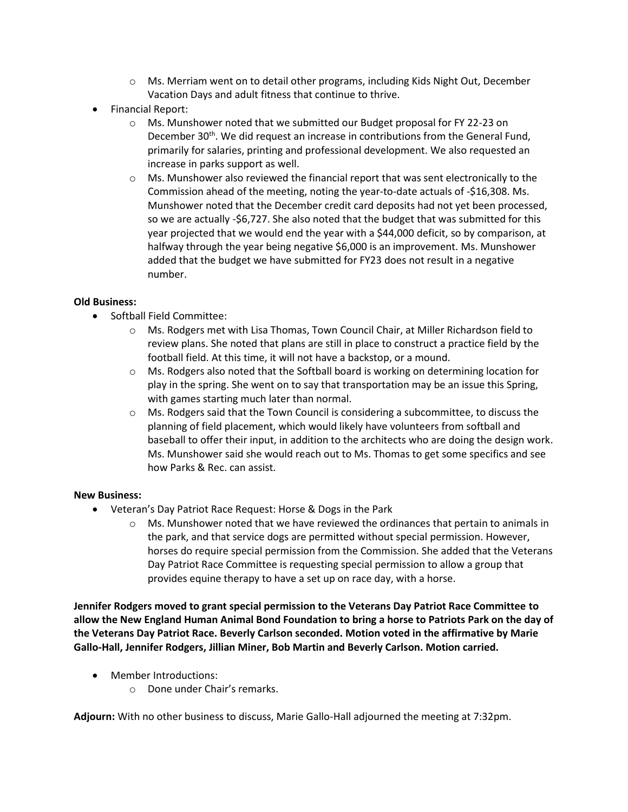- $\circ$  Ms. Merriam went on to detail other programs, including Kids Night Out, December Vacation Days and adult fitness that continue to thrive.
- Financial Report:
	- o Ms. Munshower noted that we submitted our Budget proposal for FY 22-23 on December 30<sup>th</sup>. We did request an increase in contributions from the General Fund, primarily for salaries, printing and professional development. We also requested an increase in parks support as well.
	- $\circ$  Ms. Munshower also reviewed the financial report that was sent electronically to the Commission ahead of the meeting, noting the year-to-date actuals of -\$16,308. Ms. Munshower noted that the December credit card deposits had not yet been processed, so we are actually -\$6,727. She also noted that the budget that was submitted for this year projected that we would end the year with a \$44,000 deficit, so by comparison, at halfway through the year being negative \$6,000 is an improvement. Ms. Munshower added that the budget we have submitted for FY23 does not result in a negative number.

# **Old Business:**

- Softball Field Committee:
	- o Ms. Rodgers met with Lisa Thomas, Town Council Chair, at Miller Richardson field to review plans. She noted that plans are still in place to construct a practice field by the football field. At this time, it will not have a backstop, or a mound.
	- o Ms. Rodgers also noted that the Softball board is working on determining location for play in the spring. She went on to say that transportation may be an issue this Spring, with games starting much later than normal.
	- $\circ$  Ms. Rodgers said that the Town Council is considering a subcommittee, to discuss the planning of field placement, which would likely have volunteers from softball and baseball to offer their input, in addition to the architects who are doing the design work. Ms. Munshower said she would reach out to Ms. Thomas to get some specifics and see how Parks & Rec. can assist.

# **New Business:**

- Veteran's Day Patriot Race Request: Horse & Dogs in the Park
	- o Ms. Munshower noted that we have reviewed the ordinances that pertain to animals in the park, and that service dogs are permitted without special permission. However, horses do require special permission from the Commission. She added that the Veterans Day Patriot Race Committee is requesting special permission to allow a group that provides equine therapy to have a set up on race day, with a horse.

**Jennifer Rodgers moved to grant special permission to the Veterans Day Patriot Race Committee to allow the New England Human Animal Bond Foundation to bring a horse to Patriots Park on the day of the Veterans Day Patriot Race. Beverly Carlson seconded. Motion voted in the affirmative by Marie Gallo-Hall, Jennifer Rodgers, Jillian Miner, Bob Martin and Beverly Carlson. Motion carried.**

- Member Introductions:
	- o Done under Chair's remarks.

**Adjourn:** With no other business to discuss, Marie Gallo-Hall adjourned the meeting at 7:32pm.